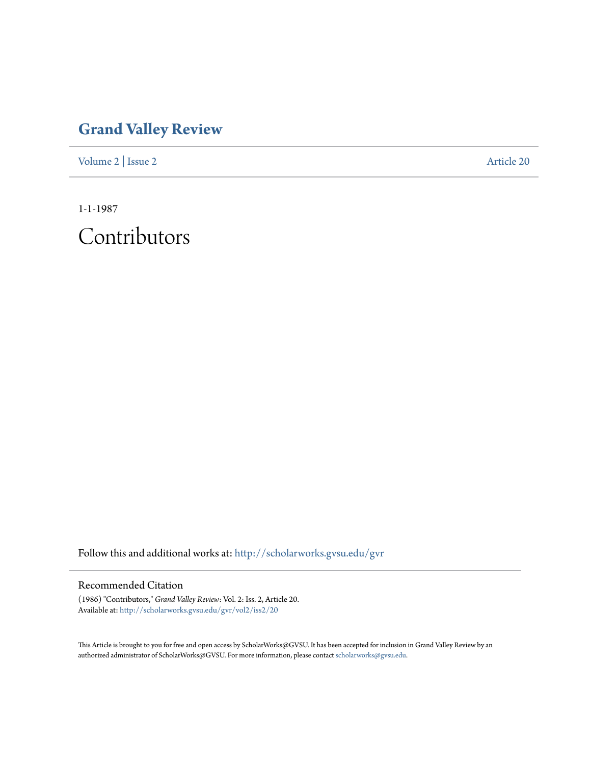## **[Grand Valley Review](http://scholarworks.gvsu.edu/gvr?utm_source=scholarworks.gvsu.edu%2Fgvr%2Fvol2%2Fiss2%2F20&utm_medium=PDF&utm_campaign=PDFCoverPages)**

[Volume 2](http://scholarworks.gvsu.edu/gvr/vol2?utm_source=scholarworks.gvsu.edu%2Fgvr%2Fvol2%2Fiss2%2F20&utm_medium=PDF&utm_campaign=PDFCoverPages) | [Issue 2](http://scholarworks.gvsu.edu/gvr/vol2/iss2?utm_source=scholarworks.gvsu.edu%2Fgvr%2Fvol2%2Fiss2%2F20&utm_medium=PDF&utm_campaign=PDFCoverPages) [Article 20](http://scholarworks.gvsu.edu/gvr/vol2/iss2/20?utm_source=scholarworks.gvsu.edu%2Fgvr%2Fvol2%2Fiss2%2F20&utm_medium=PDF&utm_campaign=PDFCoverPages)

1-1-1987

Contributors

Follow this and additional works at: [http://scholarworks.gvsu.edu/gvr](http://scholarworks.gvsu.edu/gvr?utm_source=scholarworks.gvsu.edu%2Fgvr%2Fvol2%2Fiss2%2F20&utm_medium=PDF&utm_campaign=PDFCoverPages)

## Recommended Citation

(1986) "Contributors," *Grand Valley Review*: Vol. 2: Iss. 2, Article 20. Available at: [http://scholarworks.gvsu.edu/gvr/vol2/iss2/20](http://scholarworks.gvsu.edu/gvr/vol2/iss2/20?utm_source=scholarworks.gvsu.edu%2Fgvr%2Fvol2%2Fiss2%2F20&utm_medium=PDF&utm_campaign=PDFCoverPages)

This Article is brought to you for free and open access by ScholarWorks@GVSU. It has been accepted for inclusion in Grand Valley Review by an authorized administrator of ScholarWorks@GVSU. For more information, please contact [scholarworks@gvsu.edu.](mailto:scholarworks@gvsu.edu)